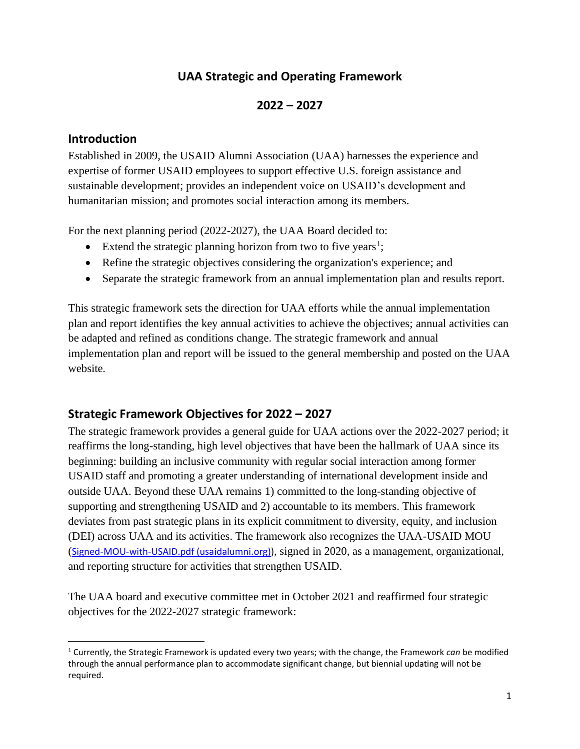# **UAA Strategic and Operating Framework**

## **2022 – 2027**

#### **Introduction**

Established in 2009, the USAID Alumni Association (UAA) harnesses the experience and expertise of former USAID employees to support effective U.S. foreign assistance and sustainable development; provides an independent voice on USAID's development and humanitarian mission; and promotes social interaction among its members.

For the next planning period (2022-2027), the UAA Board decided to:

- Extend the strategic planning horizon from two to five years<sup>1</sup>;
- Refine the strategic objectives considering the organization's experience; and
- Separate the strategic framework from an annual implementation plan and results report.

This strategic framework sets the direction for UAA efforts while the annual implementation plan and report identifies the key annual activities to achieve the objectives; annual activities can be adapted and refined as conditions change. The strategic framework and annual implementation plan and report will be issued to the general membership and posted on the UAA website.

## **Strategic Framework Objectives for 2022 – 2027**

The strategic framework provides a general guide for UAA actions over the 2022-2027 period; it reaffirms the long-standing, high level objectives that have been the hallmark of UAA since its beginning: building an inclusive community with regular social interaction among former USAID staff and promoting a greater understanding of international development inside and outside UAA. Beyond these UAA remains 1) committed to the long-standing objective of supporting and strengthening USAID and 2) accountable to its members. This framework deviates from past strategic plans in its explicit commitment to diversity, equity, and inclusion (DEI) across UAA and its activities. The framework also recognizes the UAA-USAID MOU ([Signed-MOU-with-USAID.pdf \(usaidalumni.org\)\)](https://usaidalumni.org/wp-content/uploads/2021/02/Signed-MOU-with-USAID.pdf), signed in 2020, as a management, organizational, and reporting structure for activities that strengthen USAID.

The UAA board and executive committee met in October 2021 and reaffirmed four strategic objectives for the 2022-2027 strategic framework:

<sup>1</sup> Currently, the Strategic Framework is updated every two years; with the change, the Framework *can* be modified through the annual performance plan to accommodate significant change, but biennial updating will not be required.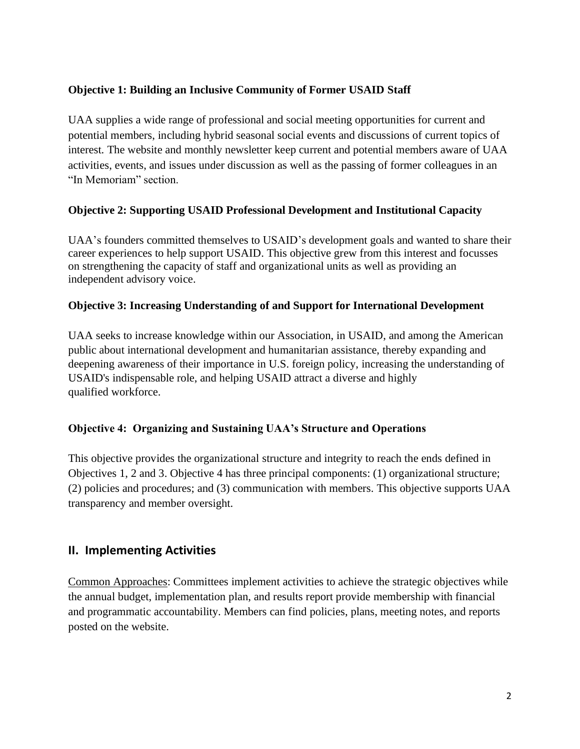#### **Objective 1: Building an Inclusive Community of Former USAID Staff**

UAA supplies a wide range of professional and social meeting opportunities for current and potential members, including hybrid seasonal social events and discussions of current topics of interest. The website and monthly newsletter keep current and potential members aware of UAA activities, events, and issues under discussion as well as the passing of former colleagues in an "In Memoriam" section.

#### **Objective 2: Supporting USAID Professional Development and Institutional Capacity**

UAA's founders committed themselves to USAID's development goals and wanted to share their career experiences to help support USAID. This objective grew from this interest and focusses on strengthening the capacity of staff and organizational units as well as providing an independent advisory voice.

#### **Objective 3: Increasing Understanding of and Support for International Development**

UAA seeks to increase knowledge within our Association, in USAID, and among the American public about international development and humanitarian assistance, thereby expanding and deepening awareness of their importance in U.S. foreign policy, increasing the understanding of USAID's indispensable role, and helping USAID attract a diverse and highly qualified workforce.

#### **Objective 4: Organizing and Sustaining UAA's Structure and Operations**

This objective provides the organizational structure and integrity to reach the ends defined in Objectives 1, 2 and 3. Objective 4 has three principal components: (1) organizational structure; (2) policies and procedures; and (3) communication with members. This objective supports UAA transparency and member oversight.

## **II. Implementing Activities**

Common Approaches: Committees implement activities to achieve the strategic objectives while the annual budget, implementation plan, and results report provide membership with financial and programmatic accountability. Members can find policies, plans, meeting notes, and reports posted on the website.